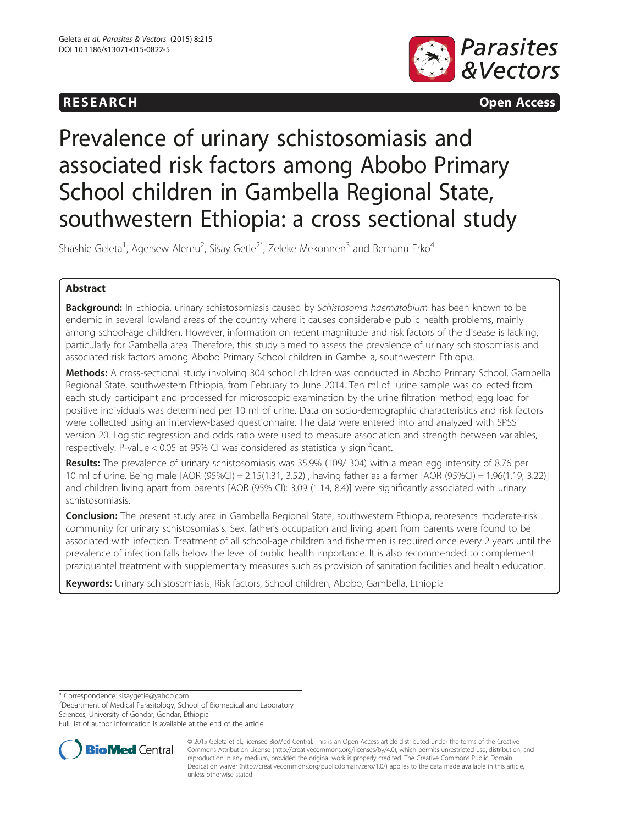# **RESEARCH RESEARCH CONSUMING ACCESS**



# Prevalence of urinary schistosomiasis and associated risk factors among Abobo Primary School children in Gambella Regional State, southwestern Ethiopia: a cross sectional study

Shashie Geleta<sup>1</sup>, Agersew Alemu<sup>2</sup>, Sisay Getie<sup>2\*</sup>, Zeleke Mekonnen<sup>3</sup> and Berhanu Erko<sup>4</sup>

# Abstract

Background: In Ethiopia, urinary schistosomiasis caused by Schistosoma haematobium has been known to be endemic in several lowland areas of the country where it causes considerable public health problems, mainly among school-age children. However, information on recent magnitude and risk factors of the disease is lacking, particularly for Gambella area. Therefore, this study aimed to assess the prevalence of urinary schistosomiasis and associated risk factors among Abobo Primary School children in Gambella, southwestern Ethiopia.

Methods: A cross-sectional study involving 304 school children was conducted in Abobo Primary School, Gambella Regional State, southwestern Ethiopia, from February to June 2014. Ten ml of urine sample was collected from each study participant and processed for microscopic examination by the urine filtration method; egg load for positive individuals was determined per 10 ml of urine. Data on socio-demographic characteristics and risk factors were collected using an interview-based questionnaire. The data were entered into and analyzed with SPSS version 20. Logistic regression and odds ratio were used to measure association and strength between variables, respectively. P-value < 0.05 at 95% CI was considered as statistically significant.

Results: The prevalence of urinary schistosomiasis was 35.9% (109/304) with a mean egg intensity of 8.76 per 10 ml of urine. Being male [AOR (95%CI) = 2.15(1.31, 3.52)], having father as a farmer [AOR (95%CI) = 1.96(1.19, 3.22)] and children living apart from parents [AOR (95% CI): 3.09 (1.14, 8.4)] were significantly associated with urinary schistosomiasis.

**Conclusion:** The present study area in Gambella Regional State, southwestern Ethiopia, represents moderate-risk community for urinary schistosomiasis. Sex, father's occupation and living apart from parents were found to be associated with infection. Treatment of all school-age children and fishermen is required once every 2 years until the prevalence of infection falls below the level of public health importance. It is also recommended to complement praziquantel treatment with supplementary measures such as provision of sanitation facilities and health education.

Keywords: Urinary schistosomiasis, Risk factors, School children, Abobo, Gambella, Ethiopia

\* Correspondence: [sisaygetie@yahoo.com](mailto:sisaygetie@yahoo.com) <sup>2</sup>

<sup>2</sup>Department of Medical Parasitology, School of Biomedical and Laboratory Sciences, University of Gondar, Gondar, Ethiopia

Full list of author information is available at the end of the article



© 2015 Geleta et al.; licensee BioMed Central. This is an Open Access article distributed under the terms of the Creative Commons Attribution License [\(http://creativecommons.org/licenses/by/4.0\)](http://creativecommons.org/licenses/by/4.0), which permits unrestricted use, distribution, and reproduction in any medium, provided the original work is properly credited. The Creative Commons Public Domain Dedication waiver [\(http://creativecommons.org/publicdomain/zero/1.0/](http://creativecommons.org/publicdomain/zero/1.0/)) applies to the data made available in this article, unless otherwise stated.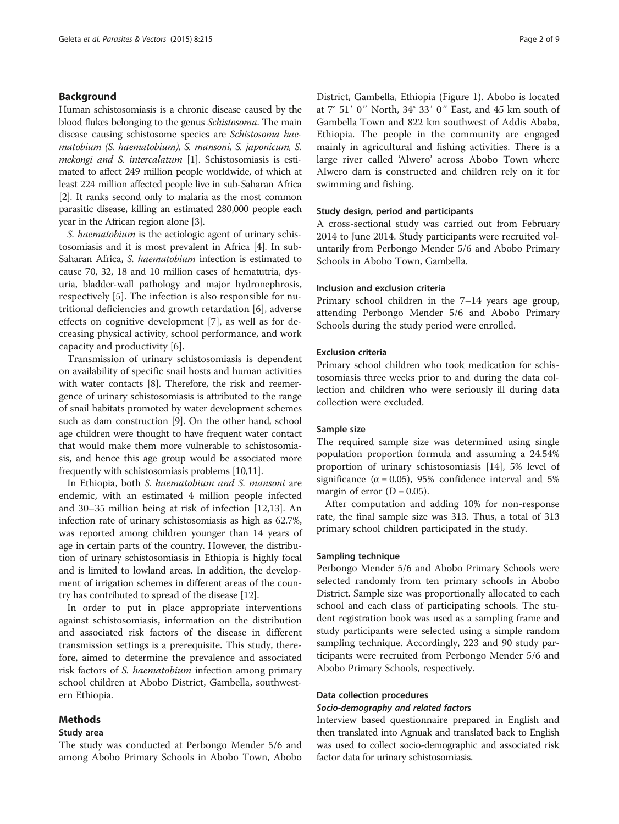# Background

Human schistosomiasis is a chronic disease caused by the blood flukes belonging to the genus Schistosoma. The main disease causing schistosome species are Schistosoma haematobium (S. haematobium), S. mansoni, S. japonicum, S. mekongi and S. intercalatum [\[1\]](#page-7-0). Schistosomiasis is estimated to affect 249 million people worldwide, of which at least 224 million affected people live in sub-Saharan Africa [[2](#page-7-0)]. It ranks second only to malaria as the most common parasitic disease, killing an estimated 280,000 people each year in the African region alone [\[3](#page-7-0)].

S. haematobium is the aetiologic agent of urinary schistosomiasis and it is most prevalent in Africa [\[4\]](#page-7-0). In sub-Saharan Africa, S. haematobium infection is estimated to cause 70, 32, 18 and 10 million cases of hematutria, dysuria, bladder-wall pathology and major hydronephrosis, respectively [\[5](#page-8-0)]. The infection is also responsible for nutritional deficiencies and growth retardation [\[6](#page-8-0)], adverse effects on cognitive development [\[7](#page-8-0)], as well as for decreasing physical activity, school performance, and work capacity and productivity [\[6](#page-8-0)].

Transmission of urinary schistosomiasis is dependent on availability of specific snail hosts and human activities with water contacts [\[8\]](#page-8-0). Therefore, the risk and reemergence of urinary schistosomiasis is attributed to the range of snail habitats promoted by water development schemes such as dam construction [\[9](#page-8-0)]. On the other hand, school age children were thought to have frequent water contact that would make them more vulnerable to schistosomiasis, and hence this age group would be associated more frequently with schistosomiasis problems [[10,11](#page-8-0)].

In Ethiopia, both S. haematobium and S. mansoni are endemic, with an estimated 4 million people infected and 30–35 million being at risk of infection [\[12,13](#page-8-0)]. An infection rate of urinary schistosomiasis as high as 62.7%, was reported among children younger than 14 years of age in certain parts of the country. However, the distribution of urinary schistosomiasis in Ethiopia is highly focal and is limited to lowland areas. In addition, the development of irrigation schemes in different areas of the country has contributed to spread of the disease [\[12](#page-8-0)].

In order to put in place appropriate interventions against schistosomiasis, information on the distribution and associated risk factors of the disease in different transmission settings is a prerequisite. This study, therefore, aimed to determine the prevalence and associated risk factors of S. haematobium infection among primary school children at Abobo District, Gambella, southwestern Ethiopia.

# Methods

#### Study area

The study was conducted at Perbongo Mender 5/6 and among Abobo Primary Schools in Abobo Town, Abobo District, Gambella, Ethiopia (Figure [1](#page-2-0)). Abobo is located at 7° 51′ 0″ North, 34° 33′ 0″ East, and 45 km south of Gambella Town and 822 km southwest of Addis Ababa, Ethiopia. The people in the community are engaged mainly in agricultural and fishing activities. There is a large river called 'Alwero' across Abobo Town where Alwero dam is constructed and children rely on it for swimming and fishing.

# Study design, period and participants

A cross-sectional study was carried out from February 2014 to June 2014. Study participants were recruited voluntarily from Perbongo Mender 5/6 and Abobo Primary Schools in Abobo Town, Gambella.

# Inclusion and exclusion criteria

Primary school children in the 7–14 years age group, attending Perbongo Mender 5/6 and Abobo Primary Schools during the study period were enrolled.

# Exclusion criteria

Primary school children who took medication for schistosomiasis three weeks prior to and during the data collection and children who were seriously ill during data collection were excluded.

# Sample size

The required sample size was determined using single population proportion formula and assuming a 24.54% proportion of urinary schistosomiasis [[14\]](#page-8-0), 5% level of significance ( $\alpha$  = 0.05), 95% confidence interval and 5% margin of error  $(D = 0.05)$ .

After computation and adding 10% for non-response rate, the final sample size was 313. Thus, a total of 313 primary school children participated in the study.

# Sampling technique

Perbongo Mender 5/6 and Abobo Primary Schools were selected randomly from ten primary schools in Abobo District. Sample size was proportionally allocated to each school and each class of participating schools. The student registration book was used as a sampling frame and study participants were selected using a simple random sampling technique. Accordingly, 223 and 90 study participants were recruited from Perbongo Mender 5/6 and Abobo Primary Schools, respectively.

# Data collection procedures

## Socio-demography and related factors

Interview based questionnaire prepared in English and then translated into Agnuak and translated back to English was used to collect socio-demographic and associated risk factor data for urinary schistosomiasis.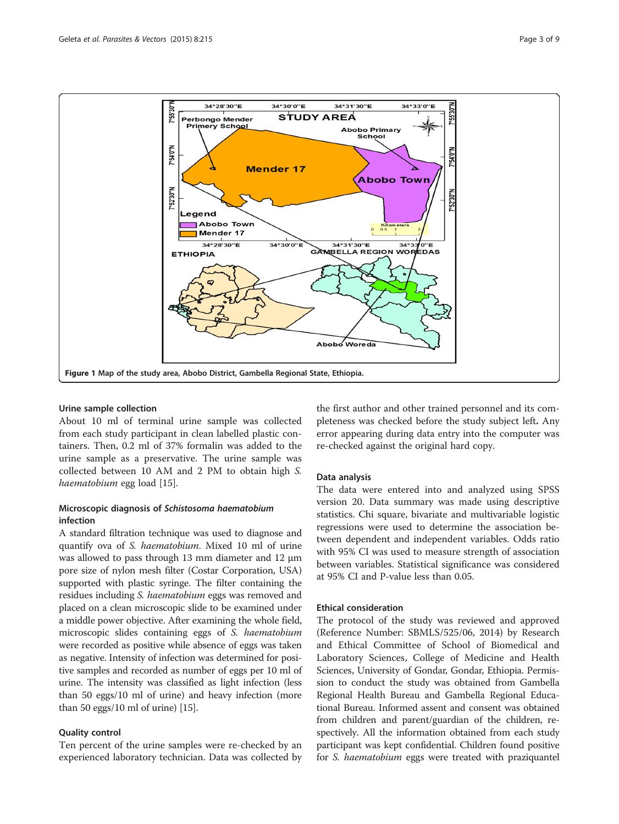<span id="page-2-0"></span>

# Urine sample collection

About 10 ml of terminal urine sample was collected from each study participant in clean labelled plastic containers. Then, 0.2 ml of 37% formalin was added to the urine sample as a preservative. The urine sample was collected between 10 AM and 2 PM to obtain high S. haematobium egg load [\[15](#page-8-0)].

# Microscopic diagnosis of Schistosoma haematobium infection

A standard filtration technique was used to diagnose and quantify ova of S. haematobium. Mixed 10 ml of urine was allowed to pass through 13 mm diameter and 12 μm pore size of nylon mesh filter (Costar Corporation, USA) supported with plastic syringe. The filter containing the residues including S. haematobium eggs was removed and placed on a clean microscopic slide to be examined under a middle power objective. After examining the whole field, microscopic slides containing eggs of S. *haematobium* were recorded as positive while absence of eggs was taken as negative. Intensity of infection was determined for positive samples and recorded as number of eggs per 10 ml of urine. The intensity was classified as light infection (less than 50 eggs/10 ml of urine) and heavy infection (more than 50 eggs/10 ml of urine) [\[15\]](#page-8-0).

# Quality control

Ten percent of the urine samples were re-checked by an experienced laboratory technician. Data was collected by

the first author and other trained personnel and its completeness was checked before the study subject left. Any error appearing during data entry into the computer was re-checked against the original hard copy.

#### Data analysis

The data were entered into and analyzed using SPSS version 20. Data summary was made using descriptive statistics. Chi square, bivariate and multivariable logistic regressions were used to determine the association between dependent and independent variables. Odds ratio with 95% CI was used to measure strength of association between variables. Statistical significance was considered at 95% CI and P-value less than 0.05.

# Ethical consideration

The protocol of the study was reviewed and approved (Reference Number: SBMLS/525/06, 2014) by Research and Ethical Committee of School of Biomedical and Laboratory Sciences, College of Medicine and Health Sciences, University of Gondar, Gondar, Ethiopia. Permission to conduct the study was obtained from Gambella Regional Health Bureau and Gambella Regional Educational Bureau. Informed assent and consent was obtained from children and parent/guardian of the children, respectively. All the information obtained from each study participant was kept confidential. Children found positive for S. haematobium eggs were treated with praziquantel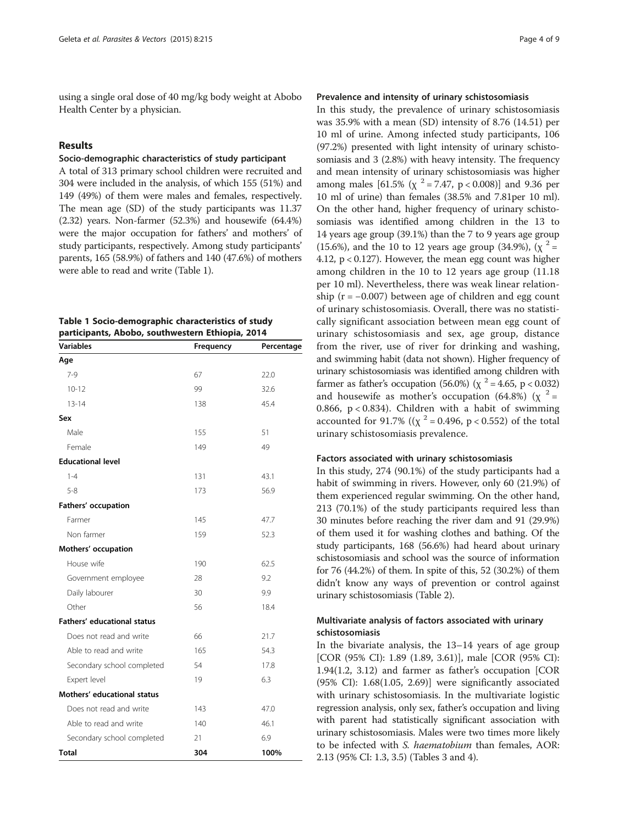using a single oral dose of 40 mg/kg body weight at Abobo Health Center by a physician.

# Results

# Socio-demographic characteristics of study participant

A total of 313 primary school children were recruited and 304 were included in the analysis, of which 155 (51%) and 149 (49%) of them were males and females, respectively. The mean age (SD) of the study participants was 11.37 (2.32) years. Non-farmer (52.3%) and housewife (64.4%) were the major occupation for fathers' and mothers' of study participants, respectively. Among study participants' parents, 165 (58.9%) of fathers and 140 (47.6%) of mothers were able to read and write (Table 1).

Table 1 Socio-demographic characteristics of study participants, Abobo, southwestern Ethiopia, 2014

| <b>Variables</b>            | Frequency | Percentage |
|-----------------------------|-----------|------------|
| Age                         |           |            |
| $7-9$                       | 67        | 22.0       |
| $10 - 12$                   | 99        | 32.6       |
| $13 - 14$                   | 138       | 45.4       |
| Sex                         |           |            |
| Male                        | 155       | 51         |
| Female                      | 149       | 49         |
| <b>Educational level</b>    |           |            |
| $1 - 4$                     | 131       | 43.1       |
| $5 - 8$                     | 173       | 56.9       |
| Fathers' occupation         |           |            |
| Farmer                      | 145       | 47.7       |
| Non farmer                  | 159       | 52.3       |
| Mothers' occupation         |           |            |
| House wife                  | 190       | 62.5       |
| Government employee         | 28        | 9.2        |
| Daily labourer              | 30        | 9.9        |
| Other                       | 56        | 18.4       |
| Fathers' educational status |           |            |
| Does not read and write     | 66        | 21.7       |
| Able to read and write      | 165       | 54.3       |
| Secondary school completed  | 54        | 17.8       |
| Expert level                | 19        | 6.3        |
| Mothers' educational status |           |            |
| Does not read and write     | 143       | 47.0       |
| Able to read and write      | 140       | 46.1       |
| Secondary school completed  | 21        | 6.9        |
| <b>Total</b>                | 304       | 100%       |

# Prevalence and intensity of urinary schistosomiasis

In this study, the prevalence of urinary schistosomiasis was 35.9% with a mean (SD) intensity of 8.76 (14.51) per 10 ml of urine. Among infected study participants, 106 (97.2%) presented with light intensity of urinary schistosomiasis and 3 (2.8%) with heavy intensity. The frequency and mean intensity of urinary schistosomiasis was higher among males [61.5% ( $\chi$ <sup>2</sup> = 7.47, p < 0.008)] and 9.36 per 10 ml of urine) than females (38.5% and 7.81per 10 ml). On the other hand, higher frequency of urinary schistosomiasis was identified among children in the 13 to 14 years age group (39.1%) than the 7 to 9 years age group (15.6%), and the 10 to 12 years age group (34.9%), ( $\chi^2$  = 4.12,  $p < 0.127$ ). However, the mean egg count was higher among children in the 10 to 12 years age group (11.18 per 10 ml). Nevertheless, there was weak linear relationship ( $r = -0.007$ ) between age of children and egg count of urinary schistosomiasis. Overall, there was no statistically significant association between mean egg count of urinary schistosomiasis and sex, age group, distance from the river, use of river for drinking and washing, and swimming habit (data not shown). Higher frequency of urinary schistosomiasis was identified among children with farmer as father's occupation (56.0%) ( $\chi^2 = 4.65$ , p < 0.032) and housewife as mother's occupation (64.8%) ( $\chi$ <sup>2</sup> = 0.866, p < 0.834). Children with a habit of swimming accounted for 91.7% (( $\chi^2$  = 0.496, p < 0.552) of the total urinary schistosomiasis prevalence.

#### Factors associated with urinary schistosomiasis

In this study, 274 (90.1%) of the study participants had a habit of swimming in rivers. However, only 60 (21.9%) of them experienced regular swimming. On the other hand, 213 (70.1%) of the study participants required less than 30 minutes before reaching the river dam and 91 (29.9%) of them used it for washing clothes and bathing. Of the study participants, 168 (56.6%) had heard about urinary schistosomiasis and school was the source of information for 76 (44.2%) of them. In spite of this, 52 (30.2%) of them didn't know any ways of prevention or control against urinary schistosomiasis (Table [2](#page-4-0)).

# Multivariate analysis of factors associated with urinary schistosomiasis

In the bivariate analysis, the 13–14 years of age group [COR (95% CI): 1.89 (1.89, 3.61)], male [COR (95% CI): 1.94(1.2, 3.12) and farmer as father's occupation [COR  $(95\% \text{ CI}): 1.68(1.05, 2.69)]$  were significantly associated with urinary schistosomiasis. In the multivariate logistic regression analysis, only sex, father's occupation and living with parent had statistically significant association with urinary schistosomiasis. Males were two times more likely to be infected with S. haematobium than females, AOR: 2.13 (95% CI: 1.3, 3.5) (Tables [3](#page-5-0) and [4](#page-6-0)).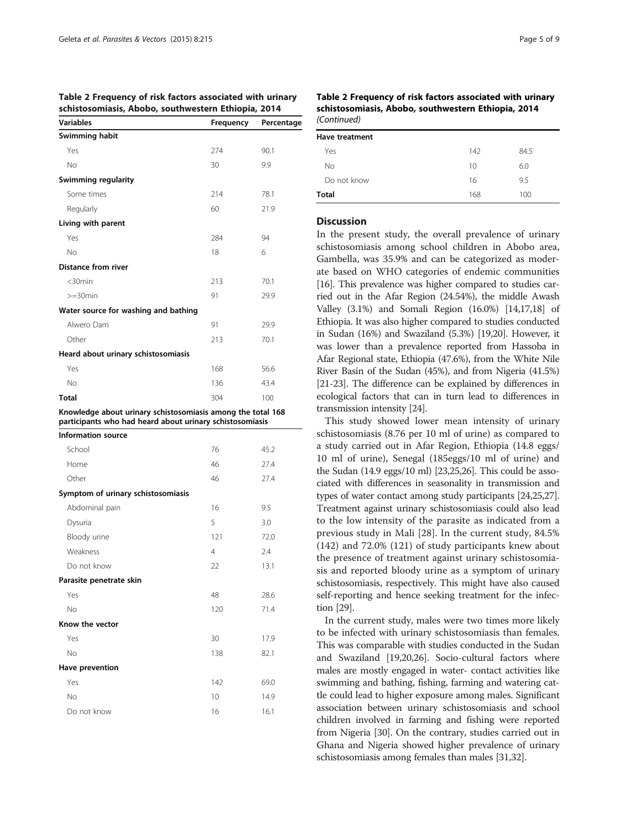| schistosomiasis, Abobo, southwestern Ethiopia, 2014                                                                     |           |            |  |  |  |
|-------------------------------------------------------------------------------------------------------------------------|-----------|------------|--|--|--|
| <b>Variables</b>                                                                                                        | Frequency | Percentage |  |  |  |
| Swimming habit                                                                                                          |           |            |  |  |  |
| Yes                                                                                                                     | 274       | 90.1       |  |  |  |
| No                                                                                                                      | 30        | 9.9        |  |  |  |
| <b>Swimming regularity</b>                                                                                              |           |            |  |  |  |
| Some times                                                                                                              | 214       | 78.1       |  |  |  |
| Regularly                                                                                                               | 60        | 21.9       |  |  |  |
| Living with parent                                                                                                      |           |            |  |  |  |
| Yes                                                                                                                     | 284       | 94         |  |  |  |
| Nο                                                                                                                      | 18        | 6          |  |  |  |
| <b>Distance from river</b>                                                                                              |           |            |  |  |  |
| $<$ 30 $min$                                                                                                            | 213       | 70.1       |  |  |  |
| $>=30$ min                                                                                                              | 91        | 29.9       |  |  |  |
| Water source for washing and bathing                                                                                    |           |            |  |  |  |
| Alwero Dam                                                                                                              | 91        | 29.9       |  |  |  |
| Other                                                                                                                   | 213       | 70.1       |  |  |  |
| Heard about urinary schistosomiasis                                                                                     |           |            |  |  |  |
| Yes                                                                                                                     | 168       | 56.6       |  |  |  |
| No                                                                                                                      | 136       | 434        |  |  |  |
| Total                                                                                                                   | 304       | 100        |  |  |  |
| Knowledge about urinary schistosomiasis among the total 168<br>participants who had heard about urinary schistosomiasis |           |            |  |  |  |
| <b>Information source</b>                                                                                               |           |            |  |  |  |
| School                                                                                                                  | 76        | 45.2       |  |  |  |
| Home                                                                                                                    | 46        | 27.4       |  |  |  |
| Other                                                                                                                   | 46        | 27.4       |  |  |  |
| Symptom of urinary schistosomiasis                                                                                      |           |            |  |  |  |
| Abdominal pain                                                                                                          | 16        | 9.5        |  |  |  |
| Dysuria                                                                                                                 | 5         | 3.0        |  |  |  |
| Bloody urine                                                                                                            | 121       | 72.0       |  |  |  |
|                                                                                                                         |           |            |  |  |  |

<span id="page-4-0"></span>Table 2 Frequency of risk factors associated with urinary schistosomiasis, Abobo, southwestern Ethiopia, 2014

Table 2 Frequency of risk factors associated with urinary schistosomiasis, Abobo, southwestern Ethiopia, 2014 (Continued)

| Have treatment |     |      |  |
|----------------|-----|------|--|
| Yes            | 142 | 84.5 |  |
| No.            | 10  | 6.0  |  |
| Do not know    | 16  | 9.5  |  |
| Total          | 168 | 100  |  |

# **Discussion**

In the present study, the overall prevalence of urinary schistosomiasis among school children in Abobo area, Gambella, was 35.9% and can be categorized as moderate based on WHO categories of endemic communities [[16](#page-8-0)]. This prevalence was higher compared to studies carried out in the Afar Region (24.54%), the middle Awash Valley (3.1%) and Somali Region (16.0%) [\[14,17,18\]](#page-8-0) of Ethiopia. It was also higher compared to studies conducted in Sudan (16%) and Swaziland (5.3%) [[19,20\]](#page-8-0). However, it was lower than a prevalence reported from Hassoba in Afar Regional state, Ethiopia (47.6%), from the White Nile River Basin of the Sudan (45%), and from Nigeria (41.5%) [[21](#page-8-0)-[23](#page-8-0)]. The difference can be explained by differences in ecological factors that can in turn lead to differences in transmission intensity [[24](#page-8-0)].

This study showed lower mean intensity of urinary schistosomiasis (8.76 per 10 ml of urine) as compared to a study carried out in Afar Region, Ethiopia (14.8 eggs/ 10 ml of urine), Senegal (185eggs/10 ml of urine) and the Sudan (14.9 eggs/10 ml) [\[23,25,26\]](#page-8-0). This could be associated with differences in seasonality in transmission and types of water contact among study participants [\[24,25,27](#page-8-0)]. Treatment against urinary schistosomiasis could also lead to the low intensity of the parasite as indicated from a previous study in Mali [[28\]](#page-8-0). In the current study, 84.5% (142) and 72.0% (121) of study participants knew about the presence of treatment against urinary schistosomiasis and reported bloody urine as a symptom of urinary schistosomiasis, respectively. This might have also caused self-reporting and hence seeking treatment for the infection [\[29\]](#page-8-0).

In the current study, males were two times more likely to be infected with urinary schistosomiasis than females. This was comparable with studies conducted in the Sudan and Swaziland [[19](#page-8-0),[20,26\]](#page-8-0). Socio-cultural factors where males are mostly engaged in water- contact activities like swimming and bathing, fishing, farming and watering cattle could lead to higher exposure among males. Significant association between urinary schistosomiasis and school children involved in farming and fishing were reported from Nigeria [\[30\]](#page-8-0). On the contrary, studies carried out in Ghana and Nigeria showed higher prevalence of urinary schistosomiasis among females than males [\[31,32\]](#page-8-0).

| <b>Information source</b>          |     |      |
|------------------------------------|-----|------|
| School                             | 76  | 45.2 |
| Home                               | 46  | 27.4 |
| Other                              | 46  | 27.4 |
| Symptom of urinary schistosomiasis |     |      |
| Abdominal pain                     | 16  | 9.5  |
| Dysuria                            | 5   | 3.0  |
| Bloody urine                       | 121 | 72.0 |
| Weakness                           | 4   | 2.4  |
| Do not know                        | 22  | 13.1 |
| Parasite penetrate skin            |     |      |
| Yes                                | 48  | 28.6 |
| No                                 | 120 | 71.4 |
| Know the vector                    |     |      |
| Yes                                | 30  | 17.9 |
| No                                 | 138 | 82.1 |
| Have prevention                    |     |      |
| Yes                                | 142 | 69.0 |
| No                                 | 10  | 14.9 |
| Do not know                        | 16  | 16.1 |
|                                    |     |      |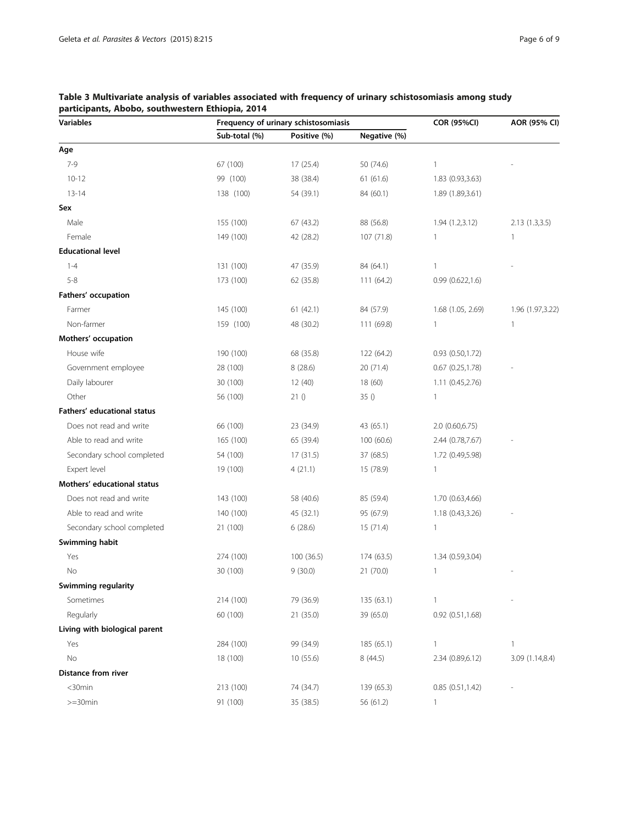| <b>Variables</b>              | Frequency of urinary schistosomiasis |              |              | <b>COR (95%CI)</b>    | AOR (95% CI)      |
|-------------------------------|--------------------------------------|--------------|--------------|-----------------------|-------------------|
|                               | Sub-total (%)                        | Positive (%) | Negative (%) |                       |                   |
| Age                           |                                      |              |              |                       |                   |
| $7-9$                         | 67 (100)                             | 17(25.4)     | 50 (74.6)    | 1                     |                   |
| $10 - 12$                     | 99 (100)                             | 38 (38.4)    | 61(61.6)     | 1.83 (0.93,3.63)      |                   |
| $13 - 14$                     | 138 (100)                            | 54 (39.1)    | 84 (60.1)    | 1.89 (1.89,3.61)      |                   |
| Sex                           |                                      |              |              |                       |                   |
| Male                          | 155 (100)                            | 67 (43.2)    | 88 (56.8)    | 1.94 (1.2,3.12)       | 2.13(1.3,3.5)     |
| Female                        | 149 (100)                            | 42 (28.2)    | 107 (71.8)   | 1                     | $\mathbf{1}$      |
| <b>Educational level</b>      |                                      |              |              |                       |                   |
| $1 - 4$                       | 131 (100)                            | 47 (35.9)    | 84 (64.1)    | 1                     |                   |
| $5 - 8$                       | 173 (100)                            | 62 (35.8)    | 111(64.2)    | 0.99(0.622, 1.6)      |                   |
| Fathers' occupation           |                                      |              |              |                       |                   |
| Farmer                        | 145 (100)                            | 61(42.1)     | 84 (57.9)    | 1.68 (1.05, 2.69)     | 1.96 (1.97, 3.22) |
| Non-farmer                    | 159 (100)                            | 48 (30.2)    | 111 (69.8)   | 1                     | $\mathbf{1}$      |
| Mothers' occupation           |                                      |              |              |                       |                   |
| House wife                    | 190 (100)                            | 68 (35.8)    | 122 (64.2)   | 0.93 (0.50,1.72)      |                   |
| Government employee           | 28 (100)                             | 8(28.6)      | 20 (71.4)    | $0.67$ $(0.25, 1.78)$ |                   |
| Daily labourer                | 30 (100)                             | 12(40)       | 18(60)       | 1.11(0.45, 2.76)      |                   |
| Other                         | 56 (100)                             | 210          | 350          | 1                     |                   |
| Fathers' educational status   |                                      |              |              |                       |                   |
| Does not read and write       | 66 (100)                             | 23 (34.9)    | 43 (65.1)    | 2.0 (0.60,6.75)       |                   |
| Able to read and write        | 165 (100)                            | 65 (39.4)    | 100 (60.6)   | 2.44 (0.78,7.67)      |                   |
| Secondary school completed    | 54 (100)                             | 17(31.5)     | 37 (68.5)    | 1.72 (0.49,5.98)      |                   |
| Expert level                  | 19 (100)                             | 4(21.1)      | 15 (78.9)    | 1                     |                   |
| Mothers' educational status   |                                      |              |              |                       |                   |
| Does not read and write       | 143 (100)                            | 58 (40.6)    | 85 (59.4)    | 1.70 (0.63,4.66)      |                   |
| Able to read and write        | 140 (100)                            | 45 (32.1)    | 95 (67.9)    | 1.18 (0.43,3.26)      |                   |
| Secondary school completed    | 21 (100)                             | 6(28.6)      | 15(71.4)     | 1                     |                   |
| Swimming habit                |                                      |              |              |                       |                   |
| Yes                           | 274 (100)                            | 100 (36.5)   | 174 (63.5)   | 1.34 (0.59,3.04)      |                   |
| No                            | 30 (100)                             | 9(30.0)      | 21 (70.0)    | 1                     |                   |
| Swimming regularity           |                                      |              |              |                       |                   |
| Sometimes                     | 214 (100)                            | 79 (36.9)    | 135(63.1)    | $\mathbf{1}$          |                   |
| Regularly                     | 60 (100)                             | 21 (35.0)    | 39 (65.0)    | 0.92 (0.51,1.68)      |                   |
| Living with biological parent |                                      |              |              |                       |                   |
| Yes                           | 284 (100)                            | 99 (34.9)    | 185(65.1)    | $\mathbf{1}$          | $\mathbf{1}$      |
| No                            | 18 (100)                             | 10 (55.6)    | 8 (44.5)     | 2.34 (0.89,6.12)      | 3.09 (1.14,8.4)   |
| <b>Distance from river</b>    |                                      |              |              |                       |                   |
| $<$ 30 $min$                  | 213 (100)                            | 74 (34.7)    | 139 (65.3)   | 0.85(0.51, 1.42)      |                   |
| $>=30min$                     | 91 (100)                             | 35 (38.5)    | 56 (61.2)    | $\mathbf{1}$          |                   |

<span id="page-5-0"></span>Table 3 Multivariate analysis of variables associated with frequency of urinary schistosomiasis among study participants, Abobo, southwestern Ethiopia, 2014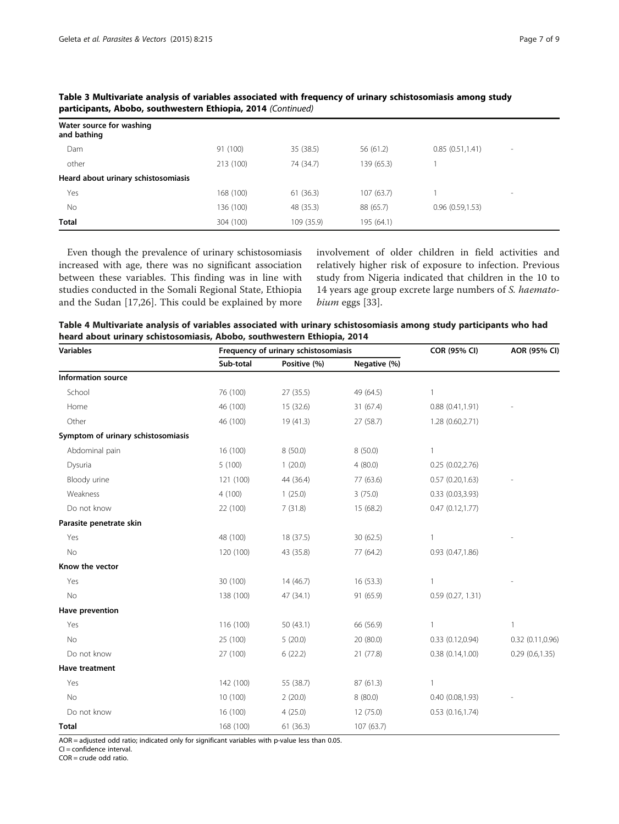| Water source for washing<br>and bathing |           |            |            |                 |                          |
|-----------------------------------------|-----------|------------|------------|-----------------|--------------------------|
| Dam                                     | 91 (100)  | 35 (38.5)  | 56 (61.2)  | 0.85(0.51,1.41) | $\overline{\phantom{a}}$ |
| other                                   | 213 (100) | 74 (34.7)  | 139 (65.3) |                 |                          |
| Heard about urinary schistosomiasis     |           |            |            |                 |                          |
| Yes                                     | 168 (100) | 61(36.3)   | 107(63.7)  |                 | $\overline{\phantom{a}}$ |
| No.                                     | 136 (100) | 48 (35.3)  | 88 (65.7)  | 0.96(0.59,1.53) |                          |
| Total                                   | 304 (100) | 109 (35.9) | 195 (64.1) |                 |                          |

<span id="page-6-0"></span>Table 3 Multivariate analysis of variables associated with frequency of urinary schistosomiasis among study participants, Abobo, southwestern Ethiopia, 2014 (Continued)

Even though the prevalence of urinary schistosomiasis increased with age, there was no significant association between these variables. This finding was in line with studies conducted in the Somali Regional State, Ethiopia and the Sudan [[17,26](#page-8-0)]. This could be explained by more involvement of older children in field activities and relatively higher risk of exposure to infection. Previous study from Nigeria indicated that children in the 10 to 14 years age group excrete large numbers of S. haematobium eggs [[33\]](#page-8-0).

Table 4 Multivariate analysis of variables associated with urinary schistosomiasis among study participants who had heard about urinary schistosomiasis, Abobo, southwestern Ethiopia, 2014

| <b>Variables</b>                   | Frequency of urinary schistosomiasis |              |              | COR (95% CI)     | AOR (95% CI)     |
|------------------------------------|--------------------------------------|--------------|--------------|------------------|------------------|
|                                    | Sub-total                            | Positive (%) | Negative (%) |                  |                  |
| <b>Information source</b>          |                                      |              |              |                  |                  |
| School                             | 76 (100)                             | 27(35.5)     | 49 (64.5)    |                  |                  |
| Home                               | 46 (100)                             | 15(32.6)     | 31 (67.4)    | 0.88(0.41, 1.91) |                  |
| Other                              | 46 (100)                             | 19 (41.3)    | 27 (58.7)    | 1.28 (0.60,2.71) |                  |
| Symptom of urinary schistosomiasis |                                      |              |              |                  |                  |
| Abdominal pain                     | 16 (100)                             | 8(50.0)      | 8(50.0)      | $\mathbf{1}$     |                  |
| Dysuria                            | 5(100)                               | 1(20.0)      | 4(80.0)      | 0.25(0.02, 2.76) |                  |
| Bloody urine                       | 121 (100)                            | 44 (36.4)    | 77 (63.6)    | 0.57(0.20, 1.63) |                  |
| Weakness                           | 4(100)                               | 1(25.0)      | 3(75.0)      | 0.33(0.03, 3.93) |                  |
| Do not know                        | 22 (100)                             | 7(31.8)      | 15 (68.2)    | 0.47(0.12,1.77)  |                  |
| Parasite penetrate skin            |                                      |              |              |                  |                  |
| Yes                                | 48 (100)                             | 18 (37.5)    | 30(62.5)     |                  |                  |
| No                                 | 120 (100)                            | 43 (35.8)    | 77 (64.2)    | 0.93(0.47, 1.86) |                  |
| Know the vector                    |                                      |              |              |                  |                  |
| Yes                                | 30 (100)                             | 14(46.7)     | 16 (53.3)    |                  |                  |
| No                                 | 138 (100)                            | 47 (34.1)    | 91 (65.9)    | 0.59(0.27, 1.31) |                  |
| Have prevention                    |                                      |              |              |                  |                  |
| Yes                                | 116 (100)                            | 50(43.1)     | 66 (56.9)    | 1                | $\mathbf{1}$     |
| No                                 | 25 (100)                             | 5(20.0)      | 20 (80.0)    | 0.33(0.12,0.94)  | 0.32 (0.11,0.96) |
| Do not know                        | 27 (100)                             | 6(22.2)      | 21 (77.8)    | 0.38(0.14, 1.00) | 0.29(0.6, 1.35)  |
| Have treatment                     |                                      |              |              |                  |                  |
| Yes                                | 142 (100)                            | 55 (38.7)    | 87(61.3)     |                  |                  |
| No                                 | 10 (100)                             | 2(20.0)      | 8(80.0)      | 0.40(0.08, 1.93) |                  |
| Do not know                        | 16 (100)                             | 4(25.0)      | 12 (75.0)    | 0.53(0.16, 1.74) |                  |
| <b>Total</b>                       | 168 (100)                            | 61(36.3)     | 107 (63.7)   |                  |                  |

AOR = adjusted odd ratio; indicated only for significant variables with p-value less than 0.05.

CI = confidence interval.

COR = crude odd ratio.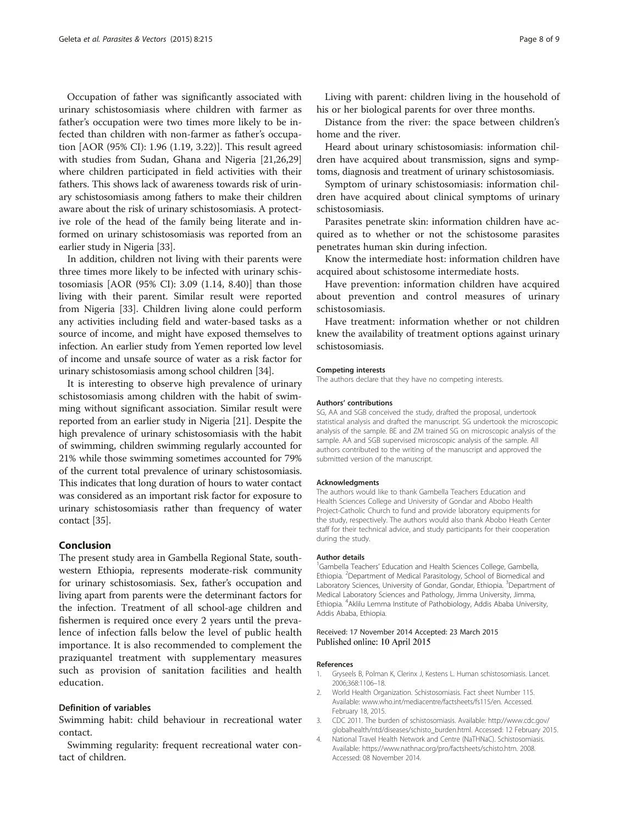<span id="page-7-0"></span>Occupation of father was significantly associated with urinary schistosomiasis where children with farmer as father's occupation were two times more likely to be infected than children with non-farmer as father's occupation [AOR (95% CI): 1.96 (1.19, 3.22)]. This result agreed with studies from Sudan, Ghana and Nigeria [[21](#page-8-0),[26](#page-8-0),[29](#page-8-0)] where children participated in field activities with their fathers. This shows lack of awareness towards risk of urinary schistosomiasis among fathers to make their children aware about the risk of urinary schistosomiasis. A protective role of the head of the family being literate and informed on urinary schistosomiasis was reported from an earlier study in Nigeria [[33](#page-8-0)].

In addition, children not living with their parents were three times more likely to be infected with urinary schistosomiasis [AOR (95% CI): 3.09 (1.14, 8.40)] than those living with their parent. Similar result were reported from Nigeria [\[33\]](#page-8-0). Children living alone could perform any activities including field and water-based tasks as a source of income, and might have exposed themselves to infection. An earlier study from Yemen reported low level of income and unsafe source of water as a risk factor for urinary schistosomiasis among school children [[34](#page-8-0)].

It is interesting to observe high prevalence of urinary schistosomiasis among children with the habit of swimming without significant association. Similar result were reported from an earlier study in Nigeria [\[21\]](#page-8-0). Despite the high prevalence of urinary schistosomiasis with the habit of swimming, children swimming regularly accounted for 21% while those swimming sometimes accounted for 79% of the current total prevalence of urinary schistosomiasis. This indicates that long duration of hours to water contact was considered as an important risk factor for exposure to urinary schistosomiasis rather than frequency of water contact [[35](#page-8-0)].

#### Conclusion

The present study area in Gambella Regional State, southwestern Ethiopia, represents moderate-risk community for urinary schistosomiasis. Sex, father's occupation and living apart from parents were the determinant factors for the infection. Treatment of all school-age children and fishermen is required once every 2 years until the prevalence of infection falls below the level of public health importance. It is also recommended to complement the praziquantel treatment with supplementary measures such as provision of sanitation facilities and health education.

#### Definition of variables

Swimming habit: child behaviour in recreational water contact.

Swimming regularity: frequent recreational water contact of children.

Living with parent: children living in the household of his or her biological parents for over three months.

Distance from the river: the space between children's home and the river.

Heard about urinary schistosomiasis: information children have acquired about transmission, signs and symptoms, diagnosis and treatment of urinary schistosomiasis.

Symptom of urinary schistosomiasis: information children have acquired about clinical symptoms of urinary schistosomiasis.

Parasites penetrate skin: information children have acquired as to whether or not the schistosome parasites penetrates human skin during infection.

Know the intermediate host: information children have acquired about schistosome intermediate hosts.

Have prevention: information children have acquired about prevention and control measures of urinary schistosomiasis.

Have treatment: information whether or not children knew the availability of treatment options against urinary schistosomiasis.

#### Competing interests

The authors declare that they have no competing interests.

#### Authors' contributions

SG, AA and SGB conceived the study, drafted the proposal, undertook statistical analysis and drafted the manuscript. SG undertook the microscopic analysis of the sample. BE and ZM trained SG on microscopic analysis of the sample. AA and SGB supervised microscopic analysis of the sample. All authors contributed to the writing of the manuscript and approved the submitted version of the manuscript.

#### Acknowledgments

The authors would like to thank Gambella Teachers Education and Health Sciences College and University of Gondar and Abobo Health Project-Catholic Church to fund and provide laboratory equipments for the study, respectively. The authors would also thank Abobo Heath Center staff for their technical advice, and study participants for their cooperation during the study.

#### Author details

<sup>1</sup>Gambella Teachers' Education and Health Sciences College, Gambella, Ethiopia. <sup>2</sup> Department of Medical Parasitology, School of Biomedical and Laboratory Sciences, University of Gondar, Gondar, Ethiopia. <sup>3</sup>Department of Medical Laboratory Sciences and Pathology, Jimma University, Jimma, Ethiopia. <sup>4</sup> Aklilu Lemma Institute of Pathobiology, Addis Ababa University Addis Ababa, Ethiopia.

#### Received: 17 November 2014 Accepted: 23 March 2015 Published online: 10 April 2015

#### References

- 1. Gryseels B, Polman K, Clerinx J, Kestens L. Human schistosomiasis. Lancet. 2006;368:1106–18.
- 2. World Health Organization. Schistosomiasis. Fact sheet Number 115. Available: [www.who.int/mediacentre/factsheets/fs115/en.](http://www.who.int/mediacentre/factsheets/fs115/en) Accessed. February 18, 2015.
- 3. CDC 2011. The burden of schistosomiasis. Available: [http://www.cdc.gov/](http://www.cdc.gov/globalhealth/ntd/diseases/schisto_burden.html) [globalhealth/ntd/diseases/schisto\\_burden.html.](http://www.cdc.gov/globalhealth/ntd/diseases/schisto_burden.html) Accessed: 12 February 2015.
- 4. National Travel Health Network and Centre (NaTHNaC). Schistosomiasis. Available:<https://www.nathnac.org/pro/factsheets/schisto.htm>. 2008. Accessed: 08 November 2014.